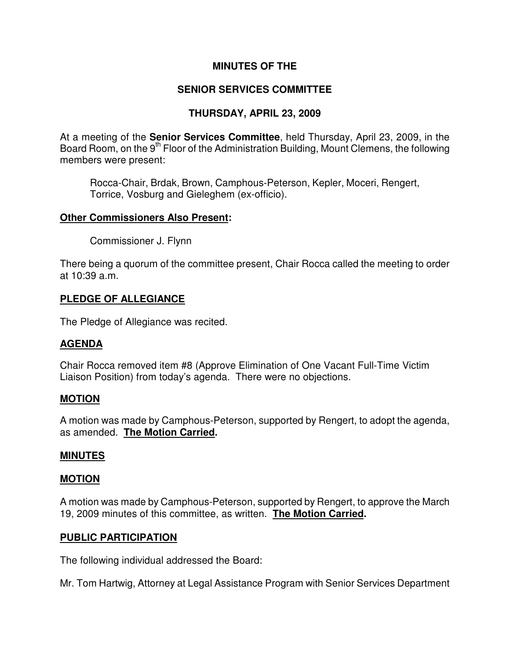## **MINUTES OF THE**

# **SENIOR SERVICES COMMITTEE**

# **THURSDAY, APRIL 23, 2009**

At a meeting of the **Senior Services Committee**, held Thursday, April 23, 2009, in the Board Room, on the 9<sup>th</sup> Floor of the Administration Building, Mount Clemens, the following members were present:

Rocca-Chair, Brdak, Brown, Camphous-Peterson, Kepler, Moceri, Rengert, Torrice, Vosburg and Gieleghem (ex-officio).

### **Other Commissioners Also Present:**

Commissioner J. Flynn

There being a quorum of the committee present, Chair Rocca called the meeting to order at 10:39 a.m.

## **PLEDGE OF ALLEGIANCE**

The Pledge of Allegiance was recited.

## **AGENDA**

Chair Rocca removed item #8 (Approve Elimination of One Vacant Full-Time Victim Liaison Position) from today's agenda. There were no objections.

#### **MOTION**

A motion was made by Camphous-Peterson, supported by Rengert, to adopt the agenda, as amended. **The Motion Carried.** 

#### **MINUTES**

#### **MOTION**

A motion was made by Camphous-Peterson, supported by Rengert, to approve the March 19, 2009 minutes of this committee, as written. **The Motion Carried.** 

## **PUBLIC PARTICIPATION**

The following individual addressed the Board:

Mr. Tom Hartwig, Attorney at Legal Assistance Program with Senior Services Department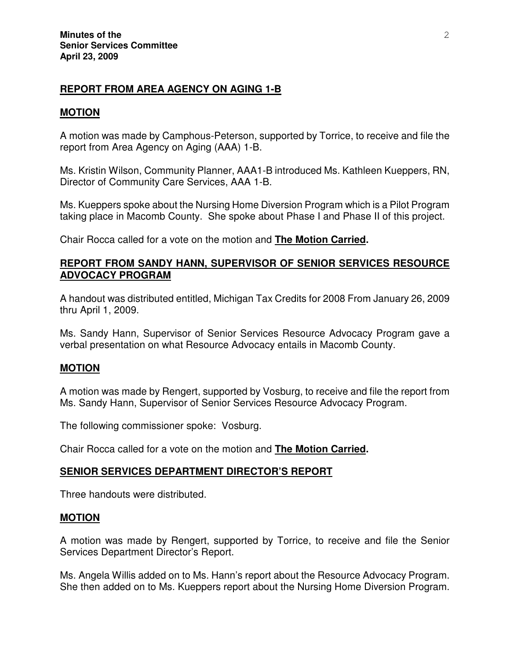## **REPORT FROM AREA AGENCY ON AGING 1-B**

## **MOTION**

A motion was made by Camphous-Peterson, supported by Torrice, to receive and file the report from Area Agency on Aging (AAA) 1-B.

Ms. Kristin Wilson, Community Planner, AAA1-B introduced Ms. Kathleen Kueppers, RN, Director of Community Care Services, AAA 1-B.

Ms. Kueppers spoke about the Nursing Home Diversion Program which is a Pilot Program taking place in Macomb County. She spoke about Phase I and Phase II of this project.

Chair Rocca called for a vote on the motion and **The Motion Carried.** 

## **REPORT FROM SANDY HANN, SUPERVISOR OF SENIOR SERVICES RESOURCE ADVOCACY PROGRAM**

A handout was distributed entitled, Michigan Tax Credits for 2008 From January 26, 2009 thru April 1, 2009.

Ms. Sandy Hann, Supervisor of Senior Services Resource Advocacy Program gave a verbal presentation on what Resource Advocacy entails in Macomb County.

## **MOTION**

A motion was made by Rengert, supported by Vosburg, to receive and file the report from Ms. Sandy Hann, Supervisor of Senior Services Resource Advocacy Program.

The following commissioner spoke: Vosburg.

Chair Rocca called for a vote on the motion and **The Motion Carried.** 

## **SENIOR SERVICES DEPARTMENT DIRECTOR'S REPORT**

Three handouts were distributed.

#### **MOTION**

A motion was made by Rengert, supported by Torrice, to receive and file the Senior Services Department Director's Report.

Ms. Angela Willis added on to Ms. Hann's report about the Resource Advocacy Program. She then added on to Ms. Kueppers report about the Nursing Home Diversion Program.